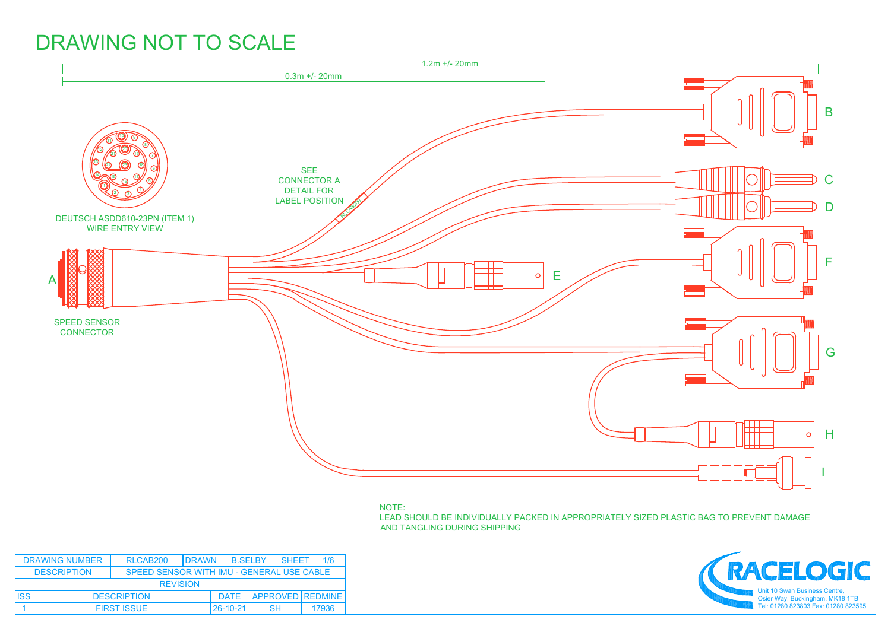## DRAWING NOT TO SCALE



## NOTE:

LEAD SHOULD BE INDIVIDUALLY PACKED IN APPROPRIATELY SIZED PLASTIC BAG TO PREVENT DAMAGE AND TANGLING DURING SHIPPING



| <b>DRAWING NUMBER</b>                                           |                    | RLCAB <sub>200</sub><br><b>B.SELBY</b><br><b>IDRAWN</b> |  |          | <b>ISHEET</b> | 1/6 |                       |
|-----------------------------------------------------------------|--------------------|---------------------------------------------------------|--|----------|---------------|-----|-----------------------|
| <b>DESCRIPTION</b><br>SPEED SENSOR WITH IMU - GENERAL USE CABLE |                    |                                                         |  |          |               |     |                       |
|                                                                 | <b>REVISION</b>    |                                                         |  |          |               |     |                       |
| <b>ISS</b>                                                      | <b>DESCRIPTION</b> |                                                         |  |          |               |     | DATE APPROVED REDMINE |
|                                                                 | <b>FIRST ISSUE</b> |                                                         |  | 26-10-21 | <b>SH</b>     |     | 17936                 |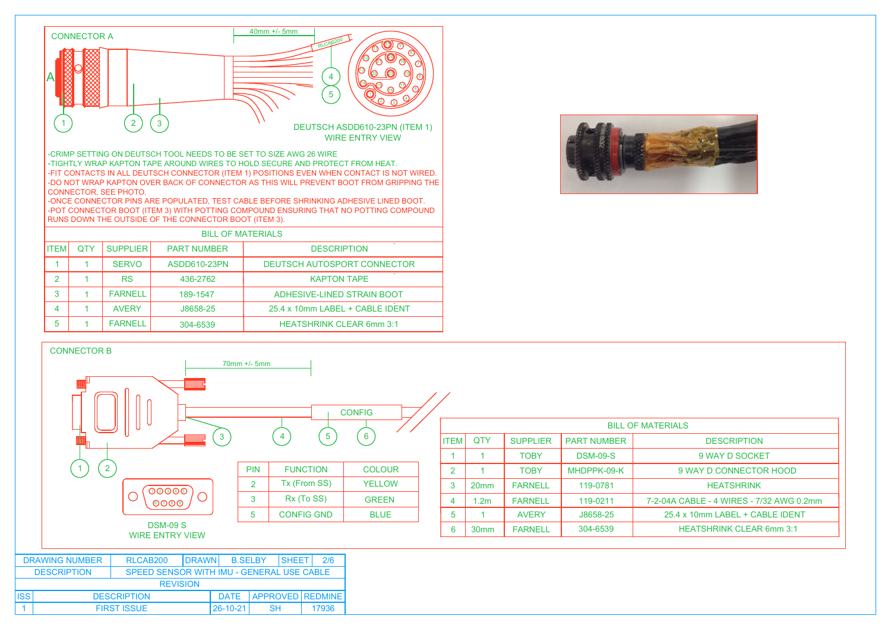

-CRIMP SETTING ON DEUTSCH TOOL NEEDS TO BE SET TO SIZE AWG 26 WIRE -TIGHTLY WRAP KAPTON TAPE AROUND WIRES TO HOLD SECURE AND PROTECT FROM HEAT. -FIT CONTACTS IN ALL DEUTSCH CONNECTOR (ITEM 1) POSITIONS EVEN WHEN CONTACT IS NOT WIRED. -DO NOT WRAP KAPTON OVER BACK OF CONNECTOR AS THIS WILL PREVENT BOOT FROM GRIPPING THE CONNECTOR, SEE PHOTO.

-ONCE CONNECTOR PINS ARE POPULATED, TEST CABLE BEFORE SHRINKING ADHESIVE LINED BOOT. -POT CONNECTOR BOOT (ITEM 3) WITH POTTING COMPOUND ENSURING THAT NO POTTING COMPOUND RUNS DOWN THE OUTSIDE OF THE CONNECTOR BOOT (ITEM 3).

|             | <b>BILL OF MATERIALS</b> |                 |                    |                                 |  |  |  |
|-------------|--------------------------|-----------------|--------------------|---------------------------------|--|--|--|
| <b>ITEM</b> | <b>OTY</b>               | <b>SUPPLIER</b> | <b>PART NUMBER</b> | <b>DESCRIPTION</b>              |  |  |  |
|             |                          | <b>SERVO</b>    | ASDD610-23PN       | DEUTSCH AUTOSPORT CONNECTOR     |  |  |  |
| 2           |                          | <b>RS</b>       | 436-2762           | <b>KAPTON TAPE</b>              |  |  |  |
| 3           |                          | <b>FARNELL</b>  | 189-1547           | ADHESIVE-LINED STRAIN BOOT      |  |  |  |
| 4           |                          | <b>AVFRY</b>    | J8658-25           | 25.4 x 10mm LABEL + CABLE IDENT |  |  |  |
| 5           |                          | <b>FARNELL</b>  | 304-6539           | <b>HEATSHRINK CLEAR 6mm 3:1</b> |  |  |  |

1 | FIRST ISSUE | 26-10-21 | SH | 17936



| <b>CONNECTOR B</b>    |                                           |                 |                     |                 |                |                  |                 |                    |                                          |
|-----------------------|-------------------------------------------|-----------------|---------------------|-----------------|----------------|------------------|-----------------|--------------------|------------------------------------------|
|                       |                                           | $70mm +/- 5mm$  |                     | <b>CONFIG</b>   |                |                  |                 |                    | <b>BILL OF MATERIALS</b>                 |
|                       |                                           | $\mathbf{3}$    | $\overline{5}$<br>4 | $6\phantom{1}6$ | <b>ITEM</b>    | <b>QTY</b>       | <b>SUPPLIER</b> | <b>PART NUMBER</b> | <b>DESCRIPTION</b>                       |
|                       |                                           |                 |                     |                 |                |                  | <b>TOBY</b>     | <b>DSM-09-S</b>    | 9 WAY D SOCKET                           |
| $\overline{2}$        |                                           | <b>PIN</b>      | <b>FUNCTION</b>     | <b>COLOUR</b>   | $\overline{2}$ |                  | <b>TOBY</b>     | MHDPPK-09-K        | 9 WAY D CONNECTOR HOOD                   |
|                       | OOOOO                                     | $\overline{2}$  | Tx (From SS)        | <b>YELLOW</b>   | $\mathbf{3}$   | 20mm             | <b>FARNELL</b>  | 119-0781           | <b>HEATSHRINK</b>                        |
|                       | $\odot\odot\odot$                         | $\mathbf{3}$    | Rx (To SS)          | <b>GREEN</b>    | $\overline{4}$ | 1.2 <sub>m</sub> | <b>FARNELL</b>  | 119-0211           | 7-2-04A CABLE - 4 WIRES - 7/32 AWG 0.2mm |
|                       |                                           | $5\phantom{.0}$ | <b>CONFIG GND</b>   | <b>BLUE</b>     | 5              |                  | <b>AVERY</b>    | J8658-25           | 25.4 x 10mm LABEL + CABLE IDENT          |
|                       | <b>DSM-09 S</b><br><b>WIRE ENTRY VIEW</b> |                 |                     |                 | 6              | 30mm             | <b>FARNELL</b>  | 304-6539           | <b>HEATSHRINK CLEAR 6mm 3:1</b>          |
|                       |                                           |                 |                     |                 |                |                  |                 |                    |                                          |
| <b>DRAWING NUMBER</b> | <b>DRAWN</b><br>RLCAB200                  | <b>B.SELBY</b>  | 2/6<br>SHEET        |                 |                |                  |                 |                    |                                          |
| <b>DESCRIPTION</b>    | SPEED SENSOR WITH IMU - GENERAL USE CABLE |                 |                     |                 |                |                  |                 |                    |                                          |
|                       | <b>REVISION</b>                           |                 |                     |                 |                |                  |                 |                    |                                          |
| SS                    | <b>DESCRIPTION</b>                        | <b>DATE</b>     | APPROVED REDMINE    |                 |                |                  |                 |                    |                                          |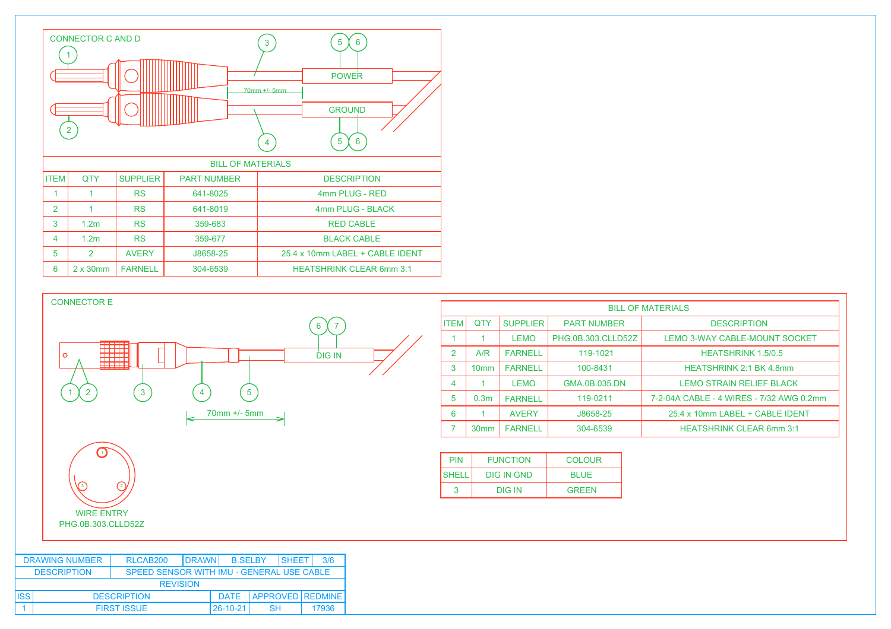



|             | <b>BILL OF MATERIALS</b> |                 |                    |                                          |  |  |
|-------------|--------------------------|-----------------|--------------------|------------------------------------------|--|--|
| <b>ITEM</b> | <b>OTY</b>               | <b>SUPPLIER</b> | <b>PART NUMBER</b> | <b>DESCRIPTION</b>                       |  |  |
|             | 1                        | <b>LEMO</b>     | PHG.0B.303.CLLD52Z | LEMO 3-WAY CABLE-MOUNT SOCKET            |  |  |
| 2           | A/R                      | <b>FARNELL</b>  | 119-1021           | <b>HEATSHRINK 1.5/0.5</b>                |  |  |
| 3           | 10 <sub>mm</sub>         | <b>FARNELL</b>  | 100-8431           | <b>HEATSHRINK 2:1 BK 4.8mm</b>           |  |  |
| 4           | 1                        | <b>LEMO</b>     | GMA.0B.035.DN      | <b>LEMO STRAIN RELIEF BLACK</b>          |  |  |
| 5           | 0.3 <sub>m</sub>         | <b>FARNELL</b>  | 119-0211           | 7-2-04A CABLE - 4 WIRES - 7/32 AWG 0.2mm |  |  |
| 6           | 1                        | <b>AVERY</b>    | J8658-25           | 25.4 x 10mm LABEL + CABLE IDENT          |  |  |
| 7           | 30 <sub>mm</sub>         | <b>FARNELL</b>  | 304-6539           | <b>HEATSHRINK CLEAR 6mm 3:1</b>          |  |  |
|             |                          |                 |                    |                                          |  |  |

| <b>PIN</b>   | <b>FUNCTION</b>   | COLOUR       |
|--------------|-------------------|--------------|
| <b>SHELL</b> | <b>DIG IN GND</b> | <b>BLUE</b>  |
|              | DIG IN            | <b>GREEN</b> |

| <b>DRAWING NUMBER</b>                                           |                    | RLCAB <sub>200</sub><br><b>IDRAWNI</b> |  |          | <b>B.SELBY</b> |  | <b>ISHEET</b><br>3/6  |
|-----------------------------------------------------------------|--------------------|----------------------------------------|--|----------|----------------|--|-----------------------|
| <b>DESCRIPTION</b><br>SPEED SENSOR WITH IMU - GENERAL USE CABLE |                    |                                        |  |          |                |  |                       |
| <b>REVISION</b>                                                 |                    |                                        |  |          |                |  |                       |
| <b>ISS</b>                                                      | <b>DESCRIPTION</b> |                                        |  |          |                |  | DATE APPROVED REDMINE |
|                                                                 | <b>FIRST ISSUE</b> |                                        |  | 26-10-21 | SН             |  | 17936                 |

 $\bigcap$ 

3) (2)

WIRE ENTRY PHG.0B.303.CLLD52Z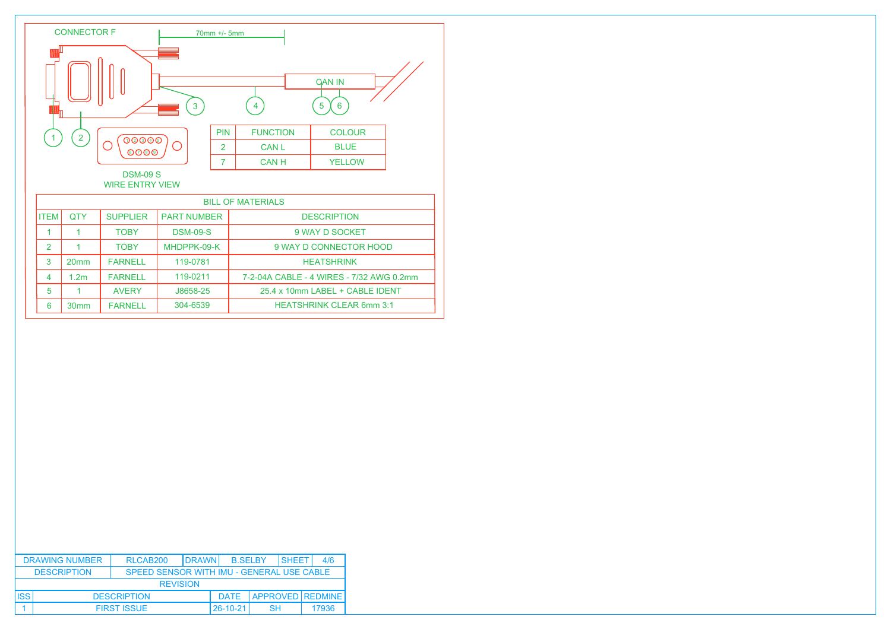

4 1.2m FARNELL 119-0211 7-2-04A CABLE - 4 WIRES - 7/32 AWG 0.2mm

5 1 AVERY J8658-25 25.4 x 10mm LABEL + CABLE IDENT 6 30mm FARNELL 304-6539 HEATSHRINK CLEAR 6mm 3:1

20mm FARNELL 119-0781 | HEATSHRINK

|       | <b>DRAWING NUMBER</b>                                           | RLCAB <sub>200</sub> | <b>ISHEET</b><br><b>DRAWN</b><br><b>B.SELBY</b> |           |                         |       |  |
|-------|-----------------------------------------------------------------|----------------------|-------------------------------------------------|-----------|-------------------------|-------|--|
|       | <b>DESCRIPTION</b><br>SPEED SENSOR WITH IMU - GENERAL USE CABLE |                      |                                                 |           |                         |       |  |
|       |                                                                 | <b>REVISION</b>      |                                                 |           |                         |       |  |
| .ISS' | <b>DESCRIPTION</b>                                              |                      |                                                 |           | <b>APPROVED REDMINE</b> |       |  |
|       | <b>FIRST ISSUE</b>                                              |                      | $26 - 10 - 21$                                  | <b>SH</b> |                         | 17936 |  |

3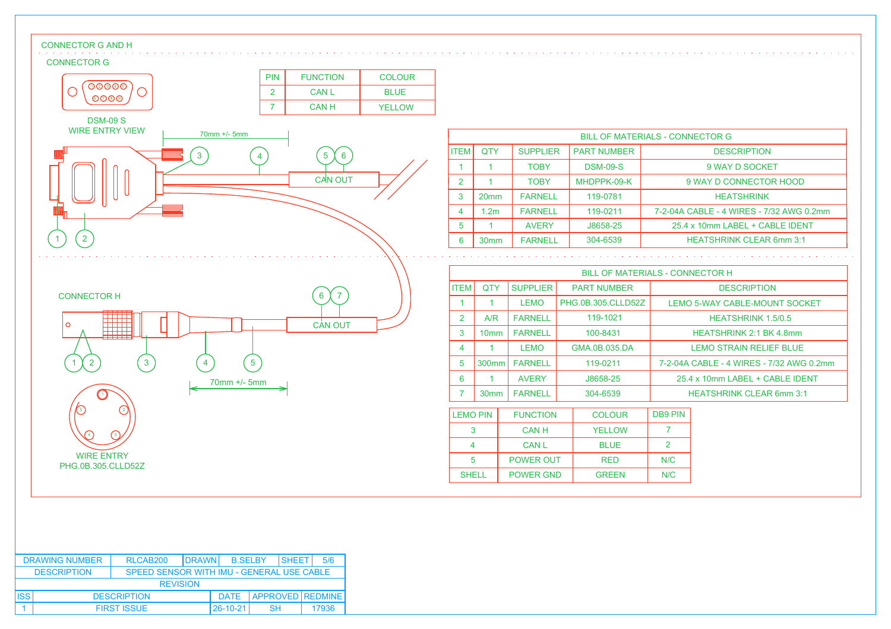## CONNECTOR G AND H

## CONNECTOR G



|               | <b>BILL OF MATERIALS - CONNECTOR G</b> |                 |                    |                                          |  |  |  |
|---------------|----------------------------------------|-----------------|--------------------|------------------------------------------|--|--|--|
| <b>ITEM</b>   | <b>OTY</b>                             | <b>SUPPLIER</b> | <b>PART NUMBER</b> | <b>DESCRIPTION</b>                       |  |  |  |
|               |                                        | <b>TOBY</b>     | <b>DSM-09-S</b>    | 9 WAY D SOCKET                           |  |  |  |
| $\mathcal{P}$ |                                        | <b>TOBY</b>     | MHDPPK-09-K        | 9 WAY D CONNECTOR HOOD                   |  |  |  |
| 3             | 20 <sub>mm</sub>                       | <b>FARNELL</b>  | 119-0781           | <b>HEATSHRINK</b>                        |  |  |  |
|               | 1.2 <sub>m</sub>                       | <b>FARNELL</b>  | 119-0211           | 7-2-04A CABLE - 4 WIRES - 7/32 AWG 0.2mm |  |  |  |
| 5             |                                        | <b>AVERY</b>    | J8658-25           | 25.4 x 10mm LABEL + CABLE IDENT          |  |  |  |
| 6             | 30 <sub>mm</sub>                       | <b>FARNELL</b>  | 304-6539           | <b>HEATSHRINK CLEAR 6mm 3:1</b>          |  |  |  |

|                | <b>BILL OF MATERIALS - CONNECTOR H</b> |                 |                    |                                          |  |  |
|----------------|----------------------------------------|-----------------|--------------------|------------------------------------------|--|--|
| ITEM           | QTY                                    | <b>SUPPLIER</b> | <b>PART NUMBER</b> | <b>DESCRIPTION</b>                       |  |  |
|                |                                        | <b>LEMO</b>     | PHG.0B.305.CLLD52Z | <b>LEMO 5-WAY CABLE-MOUNT SOCKET</b>     |  |  |
| $\mathcal{P}$  | A/R                                    | <b>FARNELL</b>  | 119-1021           | <b>HEATSHRINK 1.5/0.5</b>                |  |  |
| 3              | 10 <sub>mm</sub>                       | <b>FARNELL</b>  | 100-8431           | <b>HEATSHRINK 2:1 BK 4.8mm</b>           |  |  |
| $\overline{4}$ | 1                                      | <b>LEMO</b>     | GMA.0B.035.DA      | <b>LEMO STRAIN RELIEF BLUE</b>           |  |  |
| 5              | 300 <sub>mm</sub>                      | <b>FARNELL</b>  | 119-0211           | 7-2-04A CABLE - 4 WIRES - 7/32 AWG 0.2mm |  |  |
| 6              | 1                                      | <b>AVERY</b>    | J8658-25           | 25.4 x 10mm LABEL + CABLE IDENT          |  |  |
|                | 30 <sub>mm</sub>                       | <b>FARNELL</b>  | 304-6539           | <b>HEATSHRINK CLEAR 6mm 3:1</b>          |  |  |
|                | --                                     |                 |                    |                                          |  |  |

| <b>LEMO PIN</b> | <b>FUNCTION</b>  | <b>COLOUR</b> | <b>DB9 PIN</b> |
|-----------------|------------------|---------------|----------------|
|                 | <b>CANH</b>      | <b>YELLOW</b> |                |
|                 | <b>CAN L</b>     | <b>BLUE</b>   |                |
| 5               | <b>POWER OUT</b> | <b>RED</b>    | N/C            |
| <b>SHELL</b>    | <b>POWER GND</b> | <b>GREEN</b>  | N/C            |

| <b>DRAWING NUMBER</b>                                           |                    | <b>IDRAWN</b><br>RLCAB <sub>200</sub><br><b>B.SELBY</b> |  |          | <b>ISHEFT</b>         | 5/6 |       |
|-----------------------------------------------------------------|--------------------|---------------------------------------------------------|--|----------|-----------------------|-----|-------|
| <b>DESCRIPTION</b><br>SPEED SENSOR WITH IMU - GENERAL USE CABLE |                    |                                                         |  |          |                       |     |       |
|                                                                 | <b>REVISION</b>    |                                                         |  |          |                       |     |       |
| <b>ISS</b>                                                      | <b>DESCRIPTION</b> |                                                         |  |          | DATE APPROVED REDMINE |     |       |
|                                                                 | <b>FIRST ISSUE</b> |                                                         |  | 26-10-21 | <b>SH</b>             |     | 17936 |